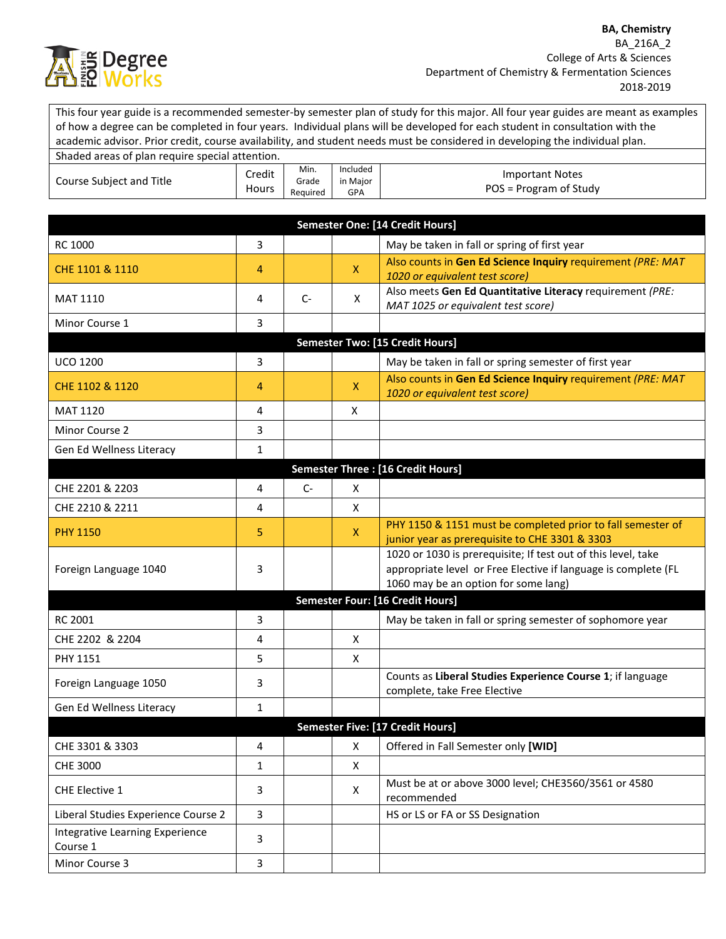

This four year guide is a recommended semester-by semester plan of study for this major. All four year guides are meant as examples of how a degree can be completed in four years. Individual plans will be developed for each student in consultation with the academic advisor. Prior credit, course availability, and student needs must be considered in developing the individual plan.

| Shaded areas of plan require special attention. |                 |                           |                                    |                                                  |
|-------------------------------------------------|-----------------|---------------------------|------------------------------------|--------------------------------------------------|
| Course Subject and Title                        | Credit<br>Hours | Min.<br>Grade<br>Reguired | Included<br>in Maior<br><b>GPA</b> | <b>Important Notes</b><br>POS = Program of Study |

|                                                    |              |      |              | Semester One: [14 Credit Hours]                                                                                                                                         |
|----------------------------------------------------|--------------|------|--------------|-------------------------------------------------------------------------------------------------------------------------------------------------------------------------|
| RC 1000                                            | 3            |      |              | May be taken in fall or spring of first year                                                                                                                            |
| CHE 1101 & 1110                                    | 4            |      | $\mathsf{X}$ | Also counts in Gen Ed Science Inquiry requirement (PRE: MAT<br>1020 or equivalent test score)                                                                           |
| <b>MAT 1110</b>                                    | 4            | $C-$ | X            | Also meets Gen Ed Quantitative Literacy requirement (PRE:<br>MAT 1025 or equivalent test score)                                                                         |
| Minor Course 1                                     | 3            |      |              |                                                                                                                                                                         |
|                                                    |              |      |              | Semester Two: [15 Credit Hours]                                                                                                                                         |
| <b>UCO 1200</b>                                    | 3            |      |              | May be taken in fall or spring semester of first year                                                                                                                   |
| CHE 1102 & 1120                                    | 4            |      | $\mathsf{X}$ | Also counts in Gen Ed Science Inquiry requirement (PRE: MAT<br>1020 or equivalent test score)                                                                           |
| <b>MAT 1120</b>                                    | 4            |      | X            |                                                                                                                                                                         |
| Minor Course 2                                     | 3            |      |              |                                                                                                                                                                         |
| Gen Ed Wellness Literacy                           | 1            |      |              |                                                                                                                                                                         |
|                                                    |              |      |              | <b>Semester Three: [16 Credit Hours]</b>                                                                                                                                |
| CHE 2201 & 2203                                    | 4            | $C-$ | X            |                                                                                                                                                                         |
| CHE 2210 & 2211                                    | 4            |      | X            |                                                                                                                                                                         |
| <b>PHY 1150</b>                                    | 5            |      | X.           | PHY 1150 & 1151 must be completed prior to fall semester of<br>junior year as prerequisite to CHE 3301 & 3303                                                           |
| Foreign Language 1040                              | 3            |      |              | 1020 or 1030 is prerequisite; If test out of this level, take<br>appropriate level or Free Elective if language is complete (FL<br>1060 may be an option for some lang) |
|                                                    |              |      |              | <b>Semester Four: [16 Credit Hours]</b>                                                                                                                                 |
| <b>RC 2001</b>                                     | 3            |      |              | May be taken in fall or spring semester of sophomore year                                                                                                               |
| CHE 2202 & 2204                                    | 4            |      | X            |                                                                                                                                                                         |
| PHY 1151                                           | 5            |      | X            |                                                                                                                                                                         |
| Foreign Language 1050                              | 3            |      |              | Counts as Liberal Studies Experience Course 1; if language<br>complete, take Free Elective                                                                              |
| Gen Ed Wellness Literacy                           | 1            |      |              |                                                                                                                                                                         |
|                                                    |              |      |              | Semester Five: [17 Credit Hours]                                                                                                                                        |
| CHE 3301 & 3303                                    | 4            |      | X            | Offered in Fall Semester only [WID]                                                                                                                                     |
| <b>CHE 3000</b>                                    | 1            |      | X            |                                                                                                                                                                         |
| CHE Elective 1                                     | 3            |      | X            | Must be at or above 3000 level; CHE3560/3561 or 4580<br>recommended                                                                                                     |
| Liberal Studies Experience Course 2                | 3            |      |              | HS or LS or FA or SS Designation                                                                                                                                        |
| <b>Integrative Learning Experience</b><br>Course 1 | 3            |      |              |                                                                                                                                                                         |
| Minor Course 3                                     | $\mathbf{3}$ |      |              |                                                                                                                                                                         |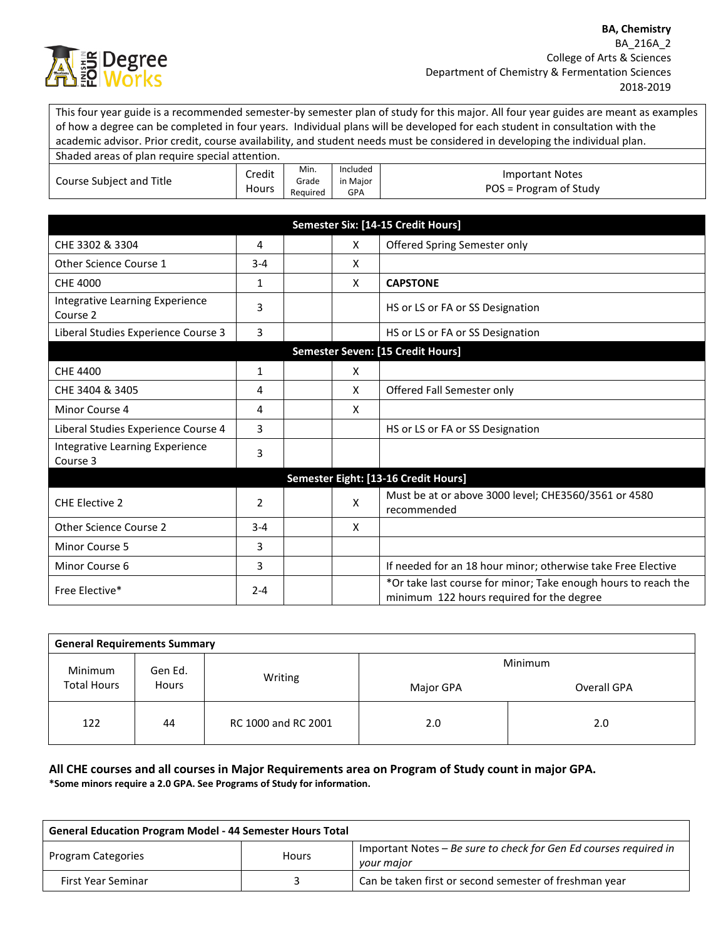

This four year guide is a recommended semester-by semester plan of study for this major. All four year guides are meant as examples of how a degree can be completed in four years. Individual plans will be developed for each student in consultation with the academic advisor. Prior credit, course availability, and student needs must be considered in developing the individual plan. Shaded areas of plan require special attention.

| Shaqed areas of plan require special attention. |                 |                           |                             |                                                  |
|-------------------------------------------------|-----------------|---------------------------|-----------------------------|--------------------------------------------------|
| Course Subject and Title                        | Credit<br>Hours | Min.<br>Grade<br>Reauired | Included<br>in Major<br>GPA | <b>Important Notes</b><br>POS = Program of Study |

|                                             |         |   | Semester Six: [14-15 Credit Hours]                                                                          |
|---------------------------------------------|---------|---|-------------------------------------------------------------------------------------------------------------|
| CHE 3302 & 3304                             | 4       | X | Offered Spring Semester only                                                                                |
| Other Science Course 1                      | $3 - 4$ | X |                                                                                                             |
| <b>CHE 4000</b>                             | 1       | X | <b>CAPSTONE</b>                                                                                             |
| Integrative Learning Experience<br>Course 2 | 3       |   | HS or LS or FA or SS Designation                                                                            |
| Liberal Studies Experience Course 3         | 3       |   | HS or LS or FA or SS Designation                                                                            |
|                                             |         |   | Semester Seven: [15 Credit Hours]                                                                           |
| CHE 4400                                    | 1       | X |                                                                                                             |
| CHE 3404 & 3405                             | 4       | X | Offered Fall Semester only                                                                                  |
| Minor Course 4                              | 4       | X |                                                                                                             |
| Liberal Studies Experience Course 4         | 3       |   | HS or LS or FA or SS Designation                                                                            |
| Integrative Learning Experience<br>Course 3 | 3       |   |                                                                                                             |
|                                             |         |   | Semester Eight: [13-16 Credit Hours]                                                                        |
| <b>CHE Elective 2</b>                       | 2       | X | Must be at or above 3000 level; CHE3560/3561 or 4580<br>recommended                                         |
| Other Science Course 2                      | $3 - 4$ | X |                                                                                                             |
| Minor Course 5                              | 3       |   |                                                                                                             |
| Minor Course 6                              | 3       |   | If needed for an 18 hour minor; otherwise take Free Elective                                                |
| Free Elective*                              | $2 - 4$ |   | *Or take last course for minor; Take enough hours to reach the<br>minimum 122 hours required for the degree |

| <b>General Requirements Summary</b> |              |                     |           |             |
|-------------------------------------|--------------|---------------------|-----------|-------------|
| Minimum                             | Gen Ed.      |                     |           | Minimum     |
| <b>Total Hours</b>                  | <b>Hours</b> | Writing             | Major GPA | Overall GPA |
| 122                                 | 44           | RC 1000 and RC 2001 | 2.0       | 2.0         |

## **All CHE courses and all courses in Major Requirements area on Program of Study count in major GPA. \*Some minors require a 2.0 GPA. See Programs of Study for information.**

| <b>General Education Program Model - 44 Semester Hours Total</b> |              |                                                                                 |
|------------------------------------------------------------------|--------------|---------------------------------------------------------------------------------|
| Program Categories                                               | <b>Hours</b> | Important Notes – Be sure to check for Gen Ed courses required in<br>your major |
| First Year Seminar                                               |              | Can be taken first or second semester of freshman year                          |